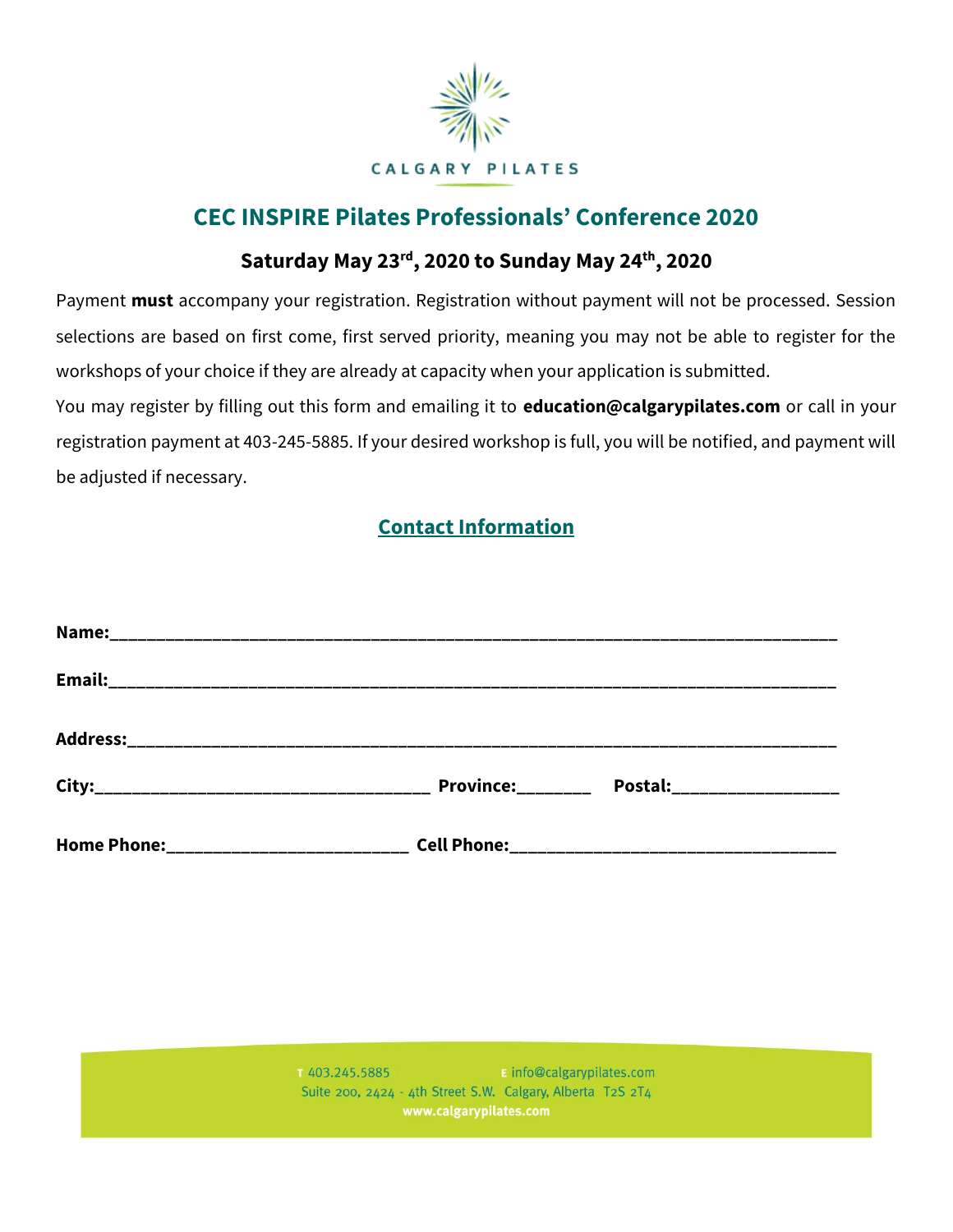

# **CEC INSPIRE Pilates Professionals' Conference 2020**

# **Saturday May 23rd, 2020 to Sunday May 24th, 2020**

Payment **must** accompany your registration. Registration without payment will not be processed. Session selections are based on first come, first served priority, meaning you may not be able to register for the workshops of your choice if they are already at capacity when your application is submitted.

You may register by filling out this form and emailing it to **education@calgarypilates.com** or call in your registration payment at 403-245-5885. If your desired workshop is full, you will be notified, and payment will be adjusted if necessary.

# **Contact Information**

| <b>Province:</b> | Postal: ___________________ |
|------------------|-----------------------------|
|                  |                             |

**E** info@calgarypilates.com 1403.245.5885 Suite 200, 2424 - 4th Street S.W. Calgary, Alberta T2S 2T4 www.calgarypilates.com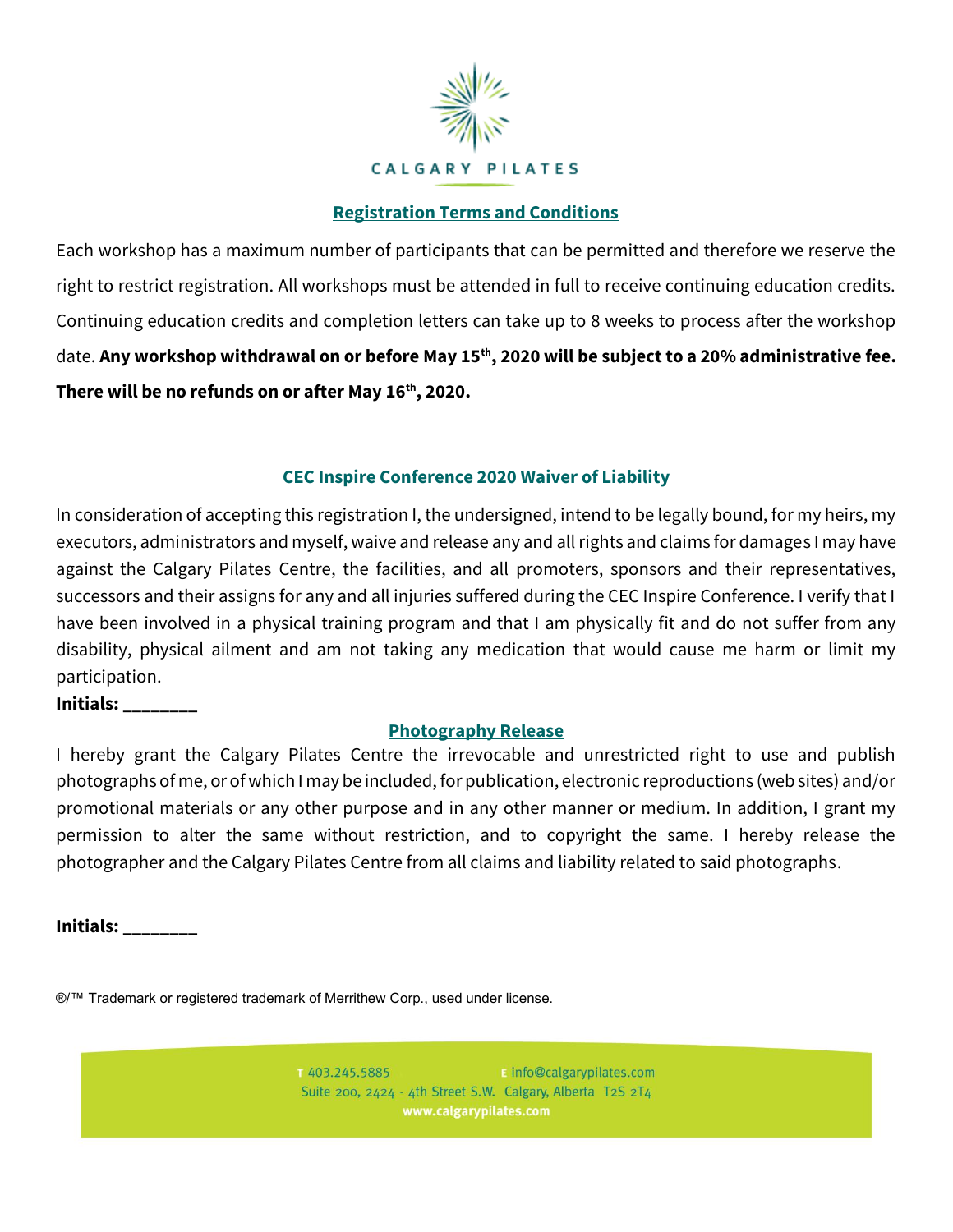

### **Registration Terms and Conditions**

Each workshop has a maximum number of participants that can be permitted and therefore we reserve the right to restrict registration. All workshops must be attended in full to receive continuing education credits. Continuing education credits and completion letters can take up to 8 weeks to process after the workshop date. **Any workshop withdrawal on or before May 15th, 2020 will be subject to a 20% administrative fee. There will be no refunds on or after May 16th, 2020.** 

## **CEC Inspire Conference 2020 Waiver of Liability**

In consideration of accepting this registration I, the undersigned, intend to be legally bound, for my heirs, my executors, administrators and myself, waive and release any and all rights and claims for damages I may have against the Calgary Pilates Centre, the facilities, and all promoters, sponsors and their representatives, successors and their assigns for any and all injuries suffered during the CEC Inspire Conference. I verify that I have been involved in a physical training program and that I am physically fit and do not suffer from any disability, physical ailment and am not taking any medication that would cause me harm or limit my participation.

#### **Initials: \_\_\_\_\_\_\_\_**

#### **Photography Release**

I hereby grant the Calgary Pilates Centre the irrevocable and unrestricted right to use and publish photographs of me, or of which I may be included, for publication, electronic reproductions (web sites) and/or promotional materials or any other purpose and in any other manner or medium. In addition, I grant my permission to alter the same without restriction, and to copyright the same. I hereby release the photographer and the Calgary Pilates Centre from all claims and liability related to said photographs.

**Initials: \_\_\_\_\_\_\_\_**

®/™ Trademark or registered trademark of Merrithew Corp., used under license.

1403.245.5885  $\blacksquare$  info@calgarypilates.com Suite 200, 2424 - 4th Street S.W. Calgary, Alberta T2S 2T4 www.calgarypilates.com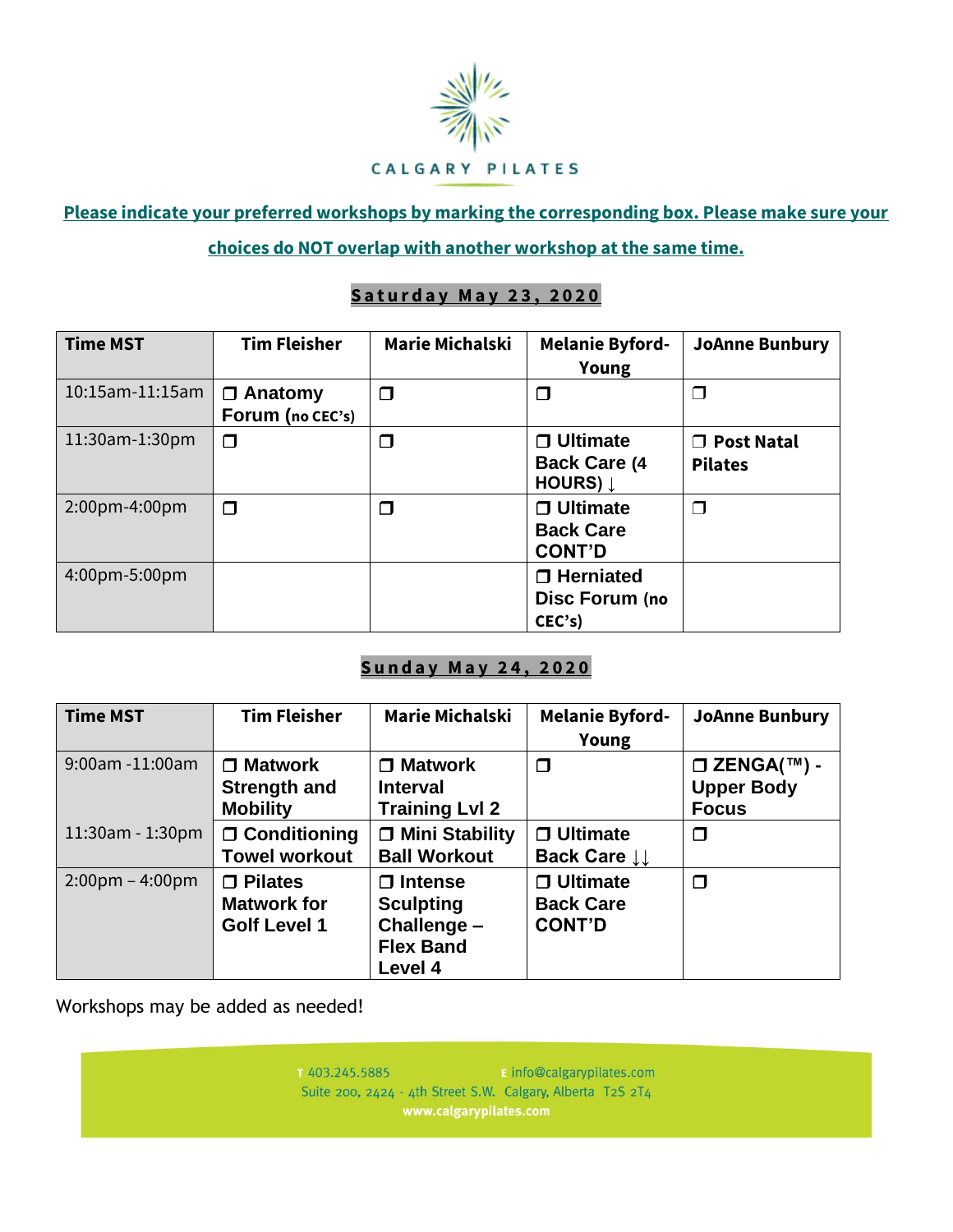

**Please indicate your preferred workshops by marking the corresponding box. Please make sure your choices do NOT overlap with another workshop at the same time.**

## **Saturday May 23, 2020**

| <b>Time MST</b>        | <b>Tim Fleisher</b>                | <b>Marie Michalski</b> | <b>Melanie Byford-</b><br>Young                            | <b>JoAnne Bunbury</b>                         |
|------------------------|------------------------------------|------------------------|------------------------------------------------------------|-----------------------------------------------|
| $10:15$ am- $11:15$ am | $\Box$ Anatomy<br>Forum (no CEC's) | $\Box$                 | $\Box$                                                     | ⊓                                             |
| 11:30am-1:30pm         | Π                                  | $\Box$                 | $\Box$ Ultimate<br><b>Back Care (4)</b><br><b>HOURS) L</b> | <b>Post Natal</b><br>$\Box$<br><b>Pilates</b> |
| 2:00pm-4:00pm          | $\Box$                             | $\Box$                 | $\Box$ Ultimate<br><b>Back Care</b><br><b>CONT'D</b>       | ⊓                                             |
| 4:00pm-5:00pm          |                                    |                        | $\Box$ Herniated<br>Disc Forum (no<br>CEC's                |                                               |

## **Sunday May 24, 2020**

| <b>Time MST</b>                   | <b>Tim Fleisher</b>                                         | <b>Marie Michalski</b>                                                           | <b>Melanie Byford-</b><br>Young                      | <b>JoAnne Bunbury</b>                                                 |
|-----------------------------------|-------------------------------------------------------------|----------------------------------------------------------------------------------|------------------------------------------------------|-----------------------------------------------------------------------|
| $9:00$ am -11:00am                | $\Box$ Matwork<br>Strength and<br><b>Mobility</b>           | $\Box$ Matwork<br><b>Interval</b><br><b>Training Lvl 2</b>                       | $\Box$                                               | $\square$ ZENGA( $\text{TM}$ ) -<br><b>Upper Body</b><br><b>Focus</b> |
| $11:30$ am - $1:30$ pm            | $\Box$ Conditioning<br><b>Towel workout</b>                 | □ Mini Stability<br><b>Ball Workout</b>                                          | $\Box$ Ultimate<br>Back Care $\downarrow\downarrow$  | ◘                                                                     |
| $2:00 \text{pm} - 4:00 \text{pm}$ | $\Box$ Pilates<br><b>Matwork for</b><br><b>Golf Level 1</b> | $\Box$ Intense<br><b>Sculpting</b><br>Challenge -<br><b>Flex Band</b><br>Level 4 | $\Box$ Ultimate<br><b>Back Care</b><br><b>CONT'D</b> | $\Box$                                                                |

Workshops may be added as needed!

1403.245.5885 **E** info@calgarypilates.com Suite 200, 2424 - 4th Street S.W. Calgary, Alberta T2S 2T4 www.calgarypilates.com